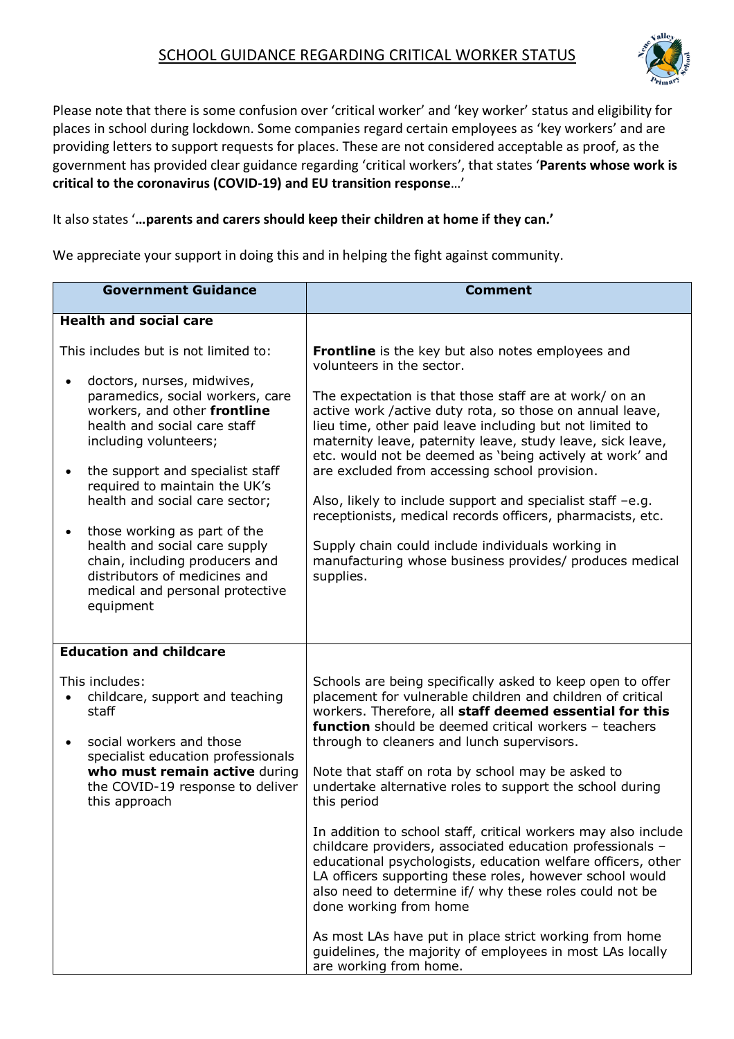## SCHOOL GUIDANCE REGARDING CRITICAL WORKER STATUS



Please note that there is some confusion over 'critical worker' and 'key worker' status and eligibility for places in school during lockdown. Some companies regard certain employees as 'key workers' and are providing letters to support requests for places. These are not considered acceptable as proof, as the government has provided clear guidance regarding 'critical workers', that states '**Parents whose work is critical to the coronavirus (COVID-19) and EU transition response**…'

It also states '**…parents and carers should keep their children at home if they can.'**

We appreciate your support in doing this and in helping the fight against community.

| <b>Government Guidance</b>                                                                                                                                                                                                                                                                                                                                                                                                                                                                                           | <b>Comment</b>                                                                                                                                                                                                                                                                                                                                                                                                                                                                                                                                                                                                                                                                                                                                                                                                                       |
|----------------------------------------------------------------------------------------------------------------------------------------------------------------------------------------------------------------------------------------------------------------------------------------------------------------------------------------------------------------------------------------------------------------------------------------------------------------------------------------------------------------------|--------------------------------------------------------------------------------------------------------------------------------------------------------------------------------------------------------------------------------------------------------------------------------------------------------------------------------------------------------------------------------------------------------------------------------------------------------------------------------------------------------------------------------------------------------------------------------------------------------------------------------------------------------------------------------------------------------------------------------------------------------------------------------------------------------------------------------------|
| <b>Health and social care</b>                                                                                                                                                                                                                                                                                                                                                                                                                                                                                        |                                                                                                                                                                                                                                                                                                                                                                                                                                                                                                                                                                                                                                                                                                                                                                                                                                      |
| This includes but is not limited to:<br>doctors, nurses, midwives,<br>paramedics, social workers, care<br>workers, and other frontline<br>health and social care staff<br>including volunteers;<br>the support and specialist staff<br>$\bullet$<br>required to maintain the UK's<br>health and social care sector;<br>those working as part of the<br>$\bullet$<br>health and social care supply<br>chain, including producers and<br>distributors of medicines and<br>medical and personal protective<br>equipment | <b>Frontline</b> is the key but also notes employees and<br>volunteers in the sector.<br>The expectation is that those staff are at work/ on an<br>active work /active duty rota, so those on annual leave,<br>lieu time, other paid leave including but not limited to<br>maternity leave, paternity leave, study leave, sick leave,<br>etc. would not be deemed as 'being actively at work' and<br>are excluded from accessing school provision.<br>Also, likely to include support and specialist staff -e.g.<br>receptionists, medical records officers, pharmacists, etc.<br>Supply chain could include individuals working in<br>manufacturing whose business provides/ produces medical<br>supplies.                                                                                                                          |
| <b>Education and childcare</b>                                                                                                                                                                                                                                                                                                                                                                                                                                                                                       |                                                                                                                                                                                                                                                                                                                                                                                                                                                                                                                                                                                                                                                                                                                                                                                                                                      |
| This includes:<br>childcare, support and teaching<br>staff<br>social workers and those<br>specialist education professionals<br>who must remain active during<br>the COVID-19 response to deliver<br>this approach                                                                                                                                                                                                                                                                                                   | Schools are being specifically asked to keep open to offer<br>placement for vulnerable children and children of critical<br>workers. Therefore, all staff deemed essential for this<br>function should be deemed critical workers - teachers<br>through to cleaners and lunch supervisors.<br>Note that staff on rota by school may be asked to<br>undertake alternative roles to support the school during<br>this period<br>In addition to school staff, critical workers may also include<br>childcare providers, associated education professionals -<br>educational psychologists, education welfare officers, other<br>LA officers supporting these roles, however school would<br>also need to determine if/ why these roles could not be<br>done working from home<br>As most LAs have put in place strict working from home |
|                                                                                                                                                                                                                                                                                                                                                                                                                                                                                                                      | guidelines, the majority of employees in most LAs locally<br>are working from home.                                                                                                                                                                                                                                                                                                                                                                                                                                                                                                                                                                                                                                                                                                                                                  |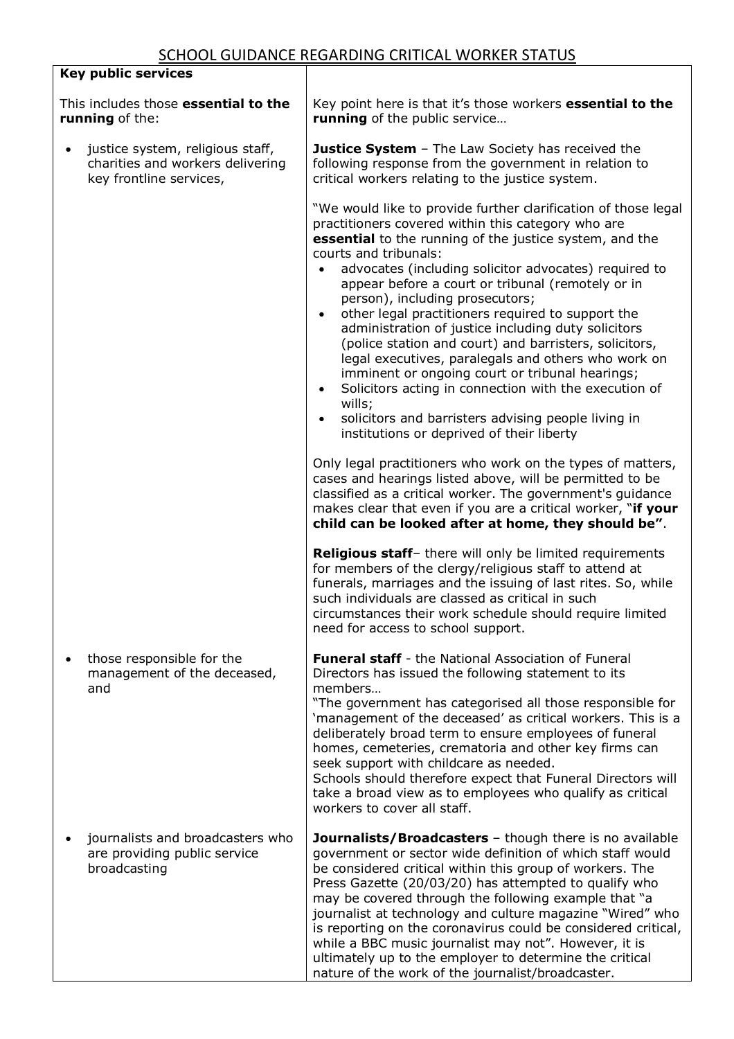|                                                         | <b>Key public services</b>                                                                      |                                                                                                                                                                                                                                                                                                                                                                                                                                                                                                                                                                                                                                                                                                                                                                                                                                                         |
|---------------------------------------------------------|-------------------------------------------------------------------------------------------------|---------------------------------------------------------------------------------------------------------------------------------------------------------------------------------------------------------------------------------------------------------------------------------------------------------------------------------------------------------------------------------------------------------------------------------------------------------------------------------------------------------------------------------------------------------------------------------------------------------------------------------------------------------------------------------------------------------------------------------------------------------------------------------------------------------------------------------------------------------|
| This includes those essential to the<br>running of the: |                                                                                                 | Key point here is that it's those workers <b>essential to the</b><br>running of the public service                                                                                                                                                                                                                                                                                                                                                                                                                                                                                                                                                                                                                                                                                                                                                      |
|                                                         | justice system, religious staff,<br>charities and workers delivering<br>key frontline services, | <b>Justice System</b> - The Law Society has received the<br>following response from the government in relation to<br>critical workers relating to the justice system.                                                                                                                                                                                                                                                                                                                                                                                                                                                                                                                                                                                                                                                                                   |
|                                                         |                                                                                                 | "We would like to provide further clarification of those legal<br>practitioners covered within this category who are<br>essential to the running of the justice system, and the<br>courts and tribunals:<br>advocates (including solicitor advocates) required to<br>appear before a court or tribunal (remotely or in<br>person), including prosecutors;<br>other legal practitioners required to support the<br>$\bullet$<br>administration of justice including duty solicitors<br>(police station and court) and barristers, solicitors,<br>legal executives, paralegals and others who work on<br>imminent or ongoing court or tribunal hearings;<br>Solicitors acting in connection with the execution of<br>$\bullet$<br>wills;<br>solicitors and barristers advising people living in<br>$\bullet$<br>institutions or deprived of their liberty |
|                                                         |                                                                                                 | Only legal practitioners who work on the types of matters,<br>cases and hearings listed above, will be permitted to be<br>classified as a critical worker. The government's guidance<br>makes clear that even if you are a critical worker, "if your<br>child can be looked after at home, they should be".                                                                                                                                                                                                                                                                                                                                                                                                                                                                                                                                             |
|                                                         |                                                                                                 | Religious staff- there will only be limited requirements<br>for members of the clergy/religious staff to attend at<br>funerals, marriages and the issuing of last rites. So, while<br>such individuals are classed as critical in such<br>circumstances their work schedule should require limited<br>need for access to school support.                                                                                                                                                                                                                                                                                                                                                                                                                                                                                                                |
|                                                         | those responsible for the<br>management of the deceased,<br>and                                 | <b>Funeral staff</b> - the National Association of Funeral<br>Directors has issued the following statement to its<br>members<br>"The government has categorised all those responsible for<br>'management of the deceased' as critical workers. This is a<br>deliberately broad term to ensure employees of funeral<br>homes, cemeteries, crematoria and other key firms can<br>seek support with childcare as needed.<br>Schools should therefore expect that Funeral Directors will<br>take a broad view as to employees who qualify as critical<br>workers to cover all staff.                                                                                                                                                                                                                                                                        |
|                                                         | journalists and broadcasters who<br>are providing public service<br>broadcasting                | <b>Journalists/Broadcasters</b> - though there is no available<br>government or sector wide definition of which staff would<br>be considered critical within this group of workers. The<br>Press Gazette (20/03/20) has attempted to qualify who<br>may be covered through the following example that "a<br>journalist at technology and culture magazine "Wired" who<br>is reporting on the coronavirus could be considered critical,<br>while a BBC music journalist may not". However, it is<br>ultimately up to the employer to determine the critical<br>nature of the work of the journalist/broadcaster.                                                                                                                                                                                                                                         |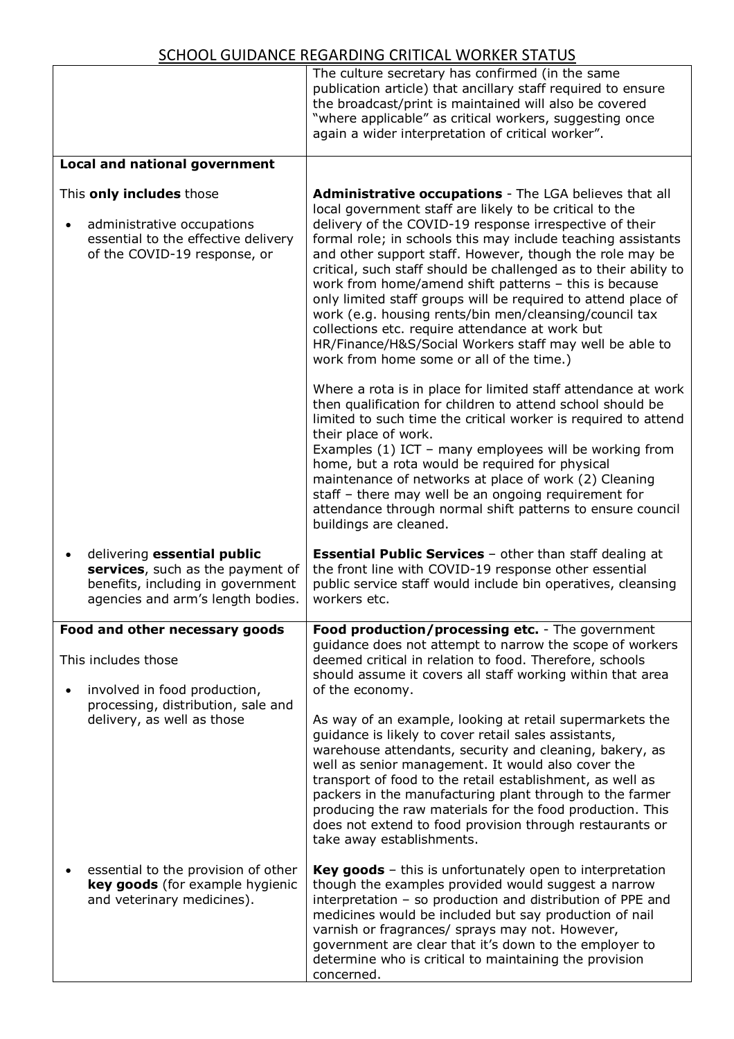|                                                                                                                                                        | The culture secretary has confirmed (in the same<br>publication article) that ancillary staff required to ensure<br>the broadcast/print is maintained will also be covered<br>"where applicable" as critical workers, suggesting once<br>again a wider interpretation of critical worker".                                                                                                                                                                                                                                                                                                                                                                                                                                 |
|--------------------------------------------------------------------------------------------------------------------------------------------------------|----------------------------------------------------------------------------------------------------------------------------------------------------------------------------------------------------------------------------------------------------------------------------------------------------------------------------------------------------------------------------------------------------------------------------------------------------------------------------------------------------------------------------------------------------------------------------------------------------------------------------------------------------------------------------------------------------------------------------|
| <b>Local and national government</b>                                                                                                                   |                                                                                                                                                                                                                                                                                                                                                                                                                                                                                                                                                                                                                                                                                                                            |
| This only includes those<br>administrative occupations<br>$\bullet$<br>essential to the effective delivery<br>of the COVID-19 response, or             | Administrative occupations - The LGA believes that all<br>local government staff are likely to be critical to the<br>delivery of the COVID-19 response irrespective of their<br>formal role; in schools this may include teaching assistants<br>and other support staff. However, though the role may be<br>critical, such staff should be challenged as to their ability to<br>work from home/amend shift patterns - this is because<br>only limited staff groups will be required to attend place of<br>work (e.g. housing rents/bin men/cleansing/council tax<br>collections etc. require attendance at work but<br>HR/Finance/H&S/Social Workers staff may well be able to<br>work from home some or all of the time.) |
|                                                                                                                                                        | Where a rota is in place for limited staff attendance at work<br>then qualification for children to attend school should be<br>limited to such time the critical worker is required to attend<br>their place of work.<br>Examples (1) ICT - many employees will be working from<br>home, but a rota would be required for physical<br>maintenance of networks at place of work (2) Cleaning<br>staff - there may well be an ongoing requirement for<br>attendance through normal shift patterns to ensure council<br>buildings are cleaned.                                                                                                                                                                                |
| delivering essential public<br>$\bullet$<br>services, such as the payment of<br>benefits, including in government<br>agencies and arm's length bodies. | <b>Essential Public Services</b> - other than staff dealing at<br>the front line with COVID-19 response other essential<br>public service staff would include bin operatives, cleansing<br>workers etc.                                                                                                                                                                                                                                                                                                                                                                                                                                                                                                                    |
| Food and other necessary goods                                                                                                                         | Food production/processing etc. - The government                                                                                                                                                                                                                                                                                                                                                                                                                                                                                                                                                                                                                                                                           |
| This includes those<br>involved in food production,<br>$\bullet$                                                                                       | guidance does not attempt to narrow the scope of workers<br>deemed critical in relation to food. Therefore, schools<br>should assume it covers all staff working within that area<br>of the economy.                                                                                                                                                                                                                                                                                                                                                                                                                                                                                                                       |
| processing, distribution, sale and<br>delivery, as well as those                                                                                       | As way of an example, looking at retail supermarkets the<br>guidance is likely to cover retail sales assistants,<br>warehouse attendants, security and cleaning, bakery, as<br>well as senior management. It would also cover the<br>transport of food to the retail establishment, as well as<br>packers in the manufacturing plant through to the farmer<br>producing the raw materials for the food production. This<br>does not extend to food provision through restaurants or<br>take away establishments.                                                                                                                                                                                                           |
| essential to the provision of other<br>key goods (for example hygienic<br>and veterinary medicines).                                                   | <b>Key goods</b> $-$ this is unfortunately open to interpretation<br>though the examples provided would suggest a narrow<br>interpretation - so production and distribution of PPE and<br>medicines would be included but say production of nail<br>varnish or fragrances/ sprays may not. However,<br>government are clear that it's down to the employer to<br>determine who is critical to maintaining the provision<br>concerned.                                                                                                                                                                                                                                                                                      |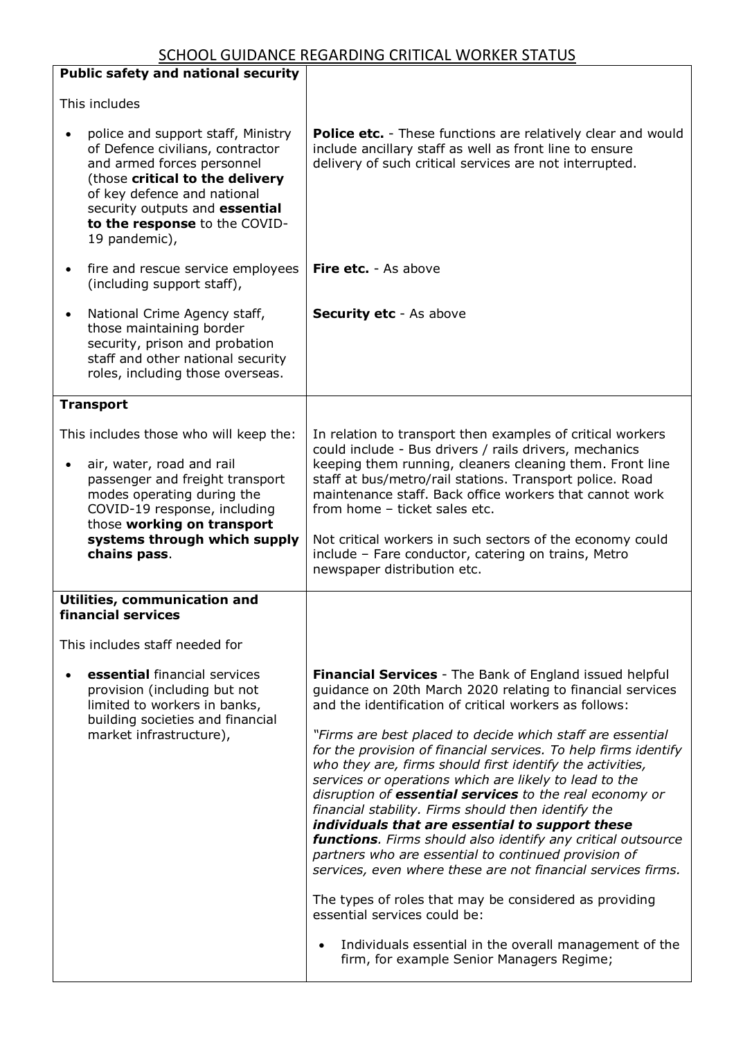| <b>Public safety and national security</b>                                                                                                                                                                                                                              |                                                                                                                                                                                                                                                                                                                                                                                                                                                                                                                                                                                                                                                                                                                                                                                                                                                                                                                                                                                                              |
|-------------------------------------------------------------------------------------------------------------------------------------------------------------------------------------------------------------------------------------------------------------------------|--------------------------------------------------------------------------------------------------------------------------------------------------------------------------------------------------------------------------------------------------------------------------------------------------------------------------------------------------------------------------------------------------------------------------------------------------------------------------------------------------------------------------------------------------------------------------------------------------------------------------------------------------------------------------------------------------------------------------------------------------------------------------------------------------------------------------------------------------------------------------------------------------------------------------------------------------------------------------------------------------------------|
| This includes                                                                                                                                                                                                                                                           |                                                                                                                                                                                                                                                                                                                                                                                                                                                                                                                                                                                                                                                                                                                                                                                                                                                                                                                                                                                                              |
| police and support staff, Ministry<br>$\bullet$<br>of Defence civilians, contractor<br>and armed forces personnel<br>(those critical to the delivery<br>of key defence and national<br>security outputs and essential<br>to the response to the COVID-<br>19 pandemic), | <b>Police etc.</b> - These functions are relatively clear and would<br>include ancillary staff as well as front line to ensure<br>delivery of such critical services are not interrupted.                                                                                                                                                                                                                                                                                                                                                                                                                                                                                                                                                                                                                                                                                                                                                                                                                    |
| fire and rescue service employees<br>$\bullet$<br>(including support staff),                                                                                                                                                                                            | <b>Fire etc.</b> - As above                                                                                                                                                                                                                                                                                                                                                                                                                                                                                                                                                                                                                                                                                                                                                                                                                                                                                                                                                                                  |
| National Crime Agency staff,<br>$\bullet$<br>those maintaining border<br>security, prison and probation<br>staff and other national security<br>roles, including those overseas.                                                                                        | <b>Security etc</b> - As above                                                                                                                                                                                                                                                                                                                                                                                                                                                                                                                                                                                                                                                                                                                                                                                                                                                                                                                                                                               |
| <b>Transport</b>                                                                                                                                                                                                                                                        |                                                                                                                                                                                                                                                                                                                                                                                                                                                                                                                                                                                                                                                                                                                                                                                                                                                                                                                                                                                                              |
| This includes those who will keep the:<br>air, water, road and rail<br>passenger and freight transport<br>modes operating during the<br>COVID-19 response, including<br>those working on transport<br>systems through which supply<br>chains pass.                      | In relation to transport then examples of critical workers<br>could include - Bus drivers / rails drivers, mechanics<br>keeping them running, cleaners cleaning them. Front line<br>staff at bus/metro/rail stations. Transport police. Road<br>maintenance staff. Back office workers that cannot work<br>from home - ticket sales etc.<br>Not critical workers in such sectors of the economy could<br>include - Fare conductor, catering on trains, Metro<br>newspaper distribution etc.                                                                                                                                                                                                                                                                                                                                                                                                                                                                                                                  |
| Utilities, communication and<br>financial services                                                                                                                                                                                                                      |                                                                                                                                                                                                                                                                                                                                                                                                                                                                                                                                                                                                                                                                                                                                                                                                                                                                                                                                                                                                              |
| This includes staff needed for                                                                                                                                                                                                                                          |                                                                                                                                                                                                                                                                                                                                                                                                                                                                                                                                                                                                                                                                                                                                                                                                                                                                                                                                                                                                              |
| essential financial services<br>provision (including but not<br>limited to workers in banks,<br>building societies and financial<br>market infrastructure),                                                                                                             | <b>Financial Services</b> - The Bank of England issued helpful<br>guidance on 20th March 2020 relating to financial services<br>and the identification of critical workers as follows:<br>"Firms are best placed to decide which staff are essential<br>for the provision of financial services. To help firms identify<br>who they are, firms should first identify the activities,<br>services or operations which are likely to lead to the<br>disruption of essential services to the real economy or<br>financial stability. Firms should then identify the<br>individuals that are essential to support these<br>functions. Firms should also identify any critical outsource<br>partners who are essential to continued provision of<br>services, even where these are not financial services firms.<br>The types of roles that may be considered as providing<br>essential services could be:<br>Individuals essential in the overall management of the<br>firm, for example Senior Managers Regime; |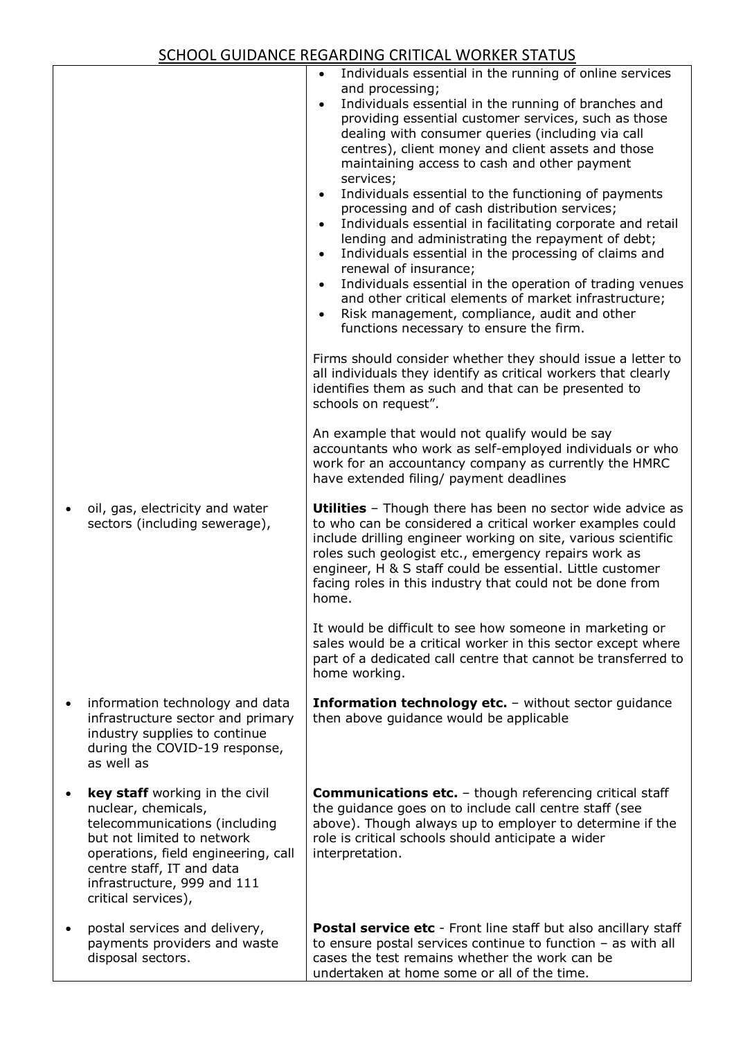| oil, gas, electricity and water                                                                                                                                                                                                                | Individuals essential in the running of online services<br>and processing;<br>Individuals essential in the running of branches and<br>$\bullet$<br>providing essential customer services, such as those<br>dealing with consumer queries (including via call<br>centres), client money and client assets and those<br>maintaining access to cash and other payment<br>services;<br>Individuals essential to the functioning of payments<br>processing and of cash distribution services;<br>Individuals essential in facilitating corporate and retail<br>lending and administrating the repayment of debt;<br>Individuals essential in the processing of claims and<br>renewal of insurance;<br>Individuals essential in the operation of trading venues<br>and other critical elements of market infrastructure;<br>Risk management, compliance, audit and other<br>functions necessary to ensure the firm.<br>Firms should consider whether they should issue a letter to<br>all individuals they identify as critical workers that clearly<br>identifies them as such and that can be presented to<br>schools on request".<br>An example that would not qualify would be say<br>accountants who work as self-employed individuals or who<br>work for an accountancy company as currently the HMRC<br>have extended filing/ payment deadlines<br><b>Utilities</b> - Though there has been no sector wide advice as |
|------------------------------------------------------------------------------------------------------------------------------------------------------------------------------------------------------------------------------------------------|-----------------------------------------------------------------------------------------------------------------------------------------------------------------------------------------------------------------------------------------------------------------------------------------------------------------------------------------------------------------------------------------------------------------------------------------------------------------------------------------------------------------------------------------------------------------------------------------------------------------------------------------------------------------------------------------------------------------------------------------------------------------------------------------------------------------------------------------------------------------------------------------------------------------------------------------------------------------------------------------------------------------------------------------------------------------------------------------------------------------------------------------------------------------------------------------------------------------------------------------------------------------------------------------------------------------------------------------------------------------------------------------------------------------------|
| sectors (including sewerage),                                                                                                                                                                                                                  | to who can be considered a critical worker examples could<br>include drilling engineer working on site, various scientific<br>roles such geologist etc., emergency repairs work as<br>engineer, H & S staff could be essential. Little customer<br>facing roles in this industry that could not be done from<br>home.<br>It would be difficult to see how someone in marketing or<br>sales would be a critical worker in this sector except where<br>part of a dedicated call centre that cannot be transferred to                                                                                                                                                                                                                                                                                                                                                                                                                                                                                                                                                                                                                                                                                                                                                                                                                                                                                                    |
|                                                                                                                                                                                                                                                | home working.                                                                                                                                                                                                                                                                                                                                                                                                                                                                                                                                                                                                                                                                                                                                                                                                                                                                                                                                                                                                                                                                                                                                                                                                                                                                                                                                                                                                         |
| information technology and data<br>infrastructure sector and primary<br>industry supplies to continue<br>during the COVID-19 response,<br>as well as                                                                                           | <b>Information technology etc.</b> - without sector guidance<br>then above quidance would be applicable                                                                                                                                                                                                                                                                                                                                                                                                                                                                                                                                                                                                                                                                                                                                                                                                                                                                                                                                                                                                                                                                                                                                                                                                                                                                                                               |
| key staff working in the civil<br>nuclear, chemicals,<br>telecommunications (including<br>but not limited to network<br>operations, field engineering, call<br>centre staff, IT and data<br>infrastructure, 999 and 111<br>critical services), | <b>Communications etc.</b> - though referencing critical staff<br>the guidance goes on to include call centre staff (see<br>above). Though always up to employer to determine if the<br>role is critical schools should anticipate a wider<br>interpretation.                                                                                                                                                                                                                                                                                                                                                                                                                                                                                                                                                                                                                                                                                                                                                                                                                                                                                                                                                                                                                                                                                                                                                         |
| postal services and delivery,<br>payments providers and waste<br>disposal sectors.                                                                                                                                                             | <b>Postal service etc</b> - Front line staff but also ancillary staff<br>to ensure postal services continue to function $-$ as with all<br>cases the test remains whether the work can be<br>undertaken at home some or all of the time.                                                                                                                                                                                                                                                                                                                                                                                                                                                                                                                                                                                                                                                                                                                                                                                                                                                                                                                                                                                                                                                                                                                                                                              |